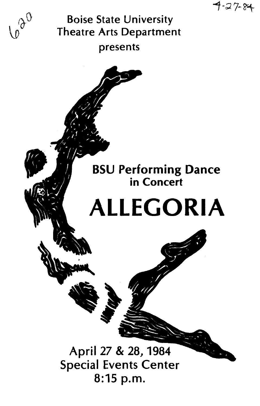$7 - 27 - 84$ 

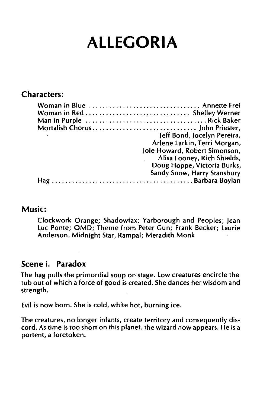# **ALLEGORIA**

### **Characters:**

| Jeff Bond, Jocelyn Pereira,<br>Arlene Larkin, Terri Morgan,<br>Joie Howard, Robert Simonson, |
|----------------------------------------------------------------------------------------------|
| Alisa Looney, Rich Shields,<br>Doug Hoppe, Victoria Burks,<br>Sandy Snow, Harry Stansbury    |
|                                                                                              |

#### **Music:**

Clockwork Orange; Shadowfax; Yarborough and Peoples; jean luc Ponte; OMD; Theme from Peter Gun; Frank Becker; laurie Anderson, Midnight Star, Rampal; Meradith Monk

#### **Scene i. Paradox**

The hag pulls the primordial soup on stage. low creatures encircle the tub out of which a force of good is created. She dances her wisdom and strength.

Evil is now born. She is cold, white hot, burning ice.

The creatures, no longer infants, create territory and consequently discord. As time is too short on this planet, the wizard now appears. He is a portent, a foretoken.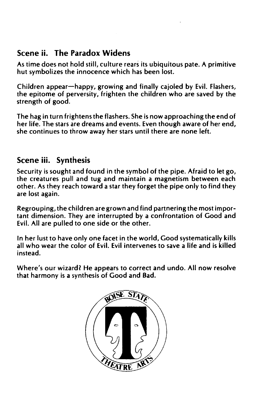### Scene ii. The Paradox Widens

As time does not hold still, culture rears its ubiquitous pate. A primitive hut symbolizes the innocence which has been lost.

Children appear-happy, growing and finally cajoled by Evil. Flashers, the epitome of perversity, frighten the children who are saved by the strength of good.

The hag in turn frightens the flashers. She is now approaching the end of her life. The stars are dreams and events. Even though aware of her end, she continues to throw away her stars until there are none left.

# Scene iii. Synthesis

Security is sought and found in the symbol of the pipe. Afraid to let go, the creatures pull and tug and maintain a magnetism between each other. As they reach toward a star they forget the pipe only to find they are lost again.

Regrouping, the children are grown and find partnering the most important dimension. They are interrupted by a confrontation of Good and Evil. All are pulled to one side or the other.

In her lust to have only one facet in the world, Good systematically kills all who wear the color of Evil. Evil intervenes to save a life and is killed instead.

Where's our wizard? He appears to correct and undo. All now resolve that harmony is a synthesis of Good and Bad.